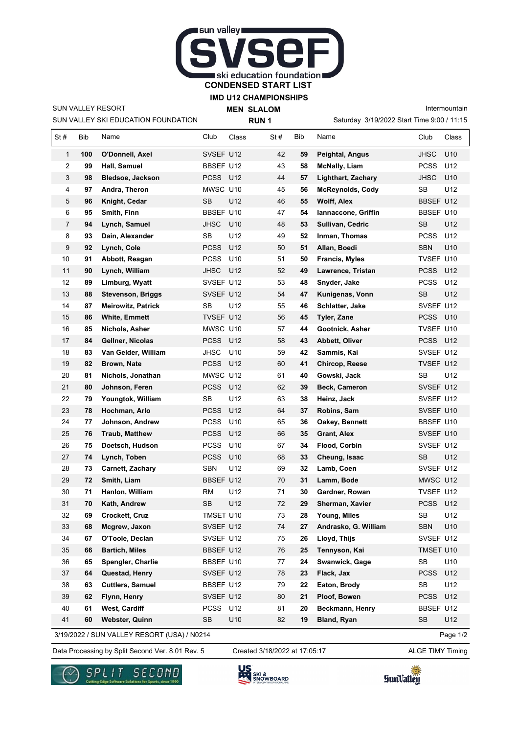

**IMD U12 CHAMPIONSHIPS**

SUN VALLEY SKI EDUCATION FOUNDATION SUN VALLEY RESORT

**MEN SLALOM RUN 1**

Intermountain

Saturday 3/19/2022 Start Time 9:00 / 11:15

| St#            | Bib | Name                      | Club             | Class           | St# | Bib | Name                      | Club        | Class           |
|----------------|-----|---------------------------|------------------|-----------------|-----|-----|---------------------------|-------------|-----------------|
| $\mathbf{1}$   | 100 | O'Donnell, Axel           | SVSEF U12        |                 | 42  | 59  | <b>Peightal, Angus</b>    | <b>JHSC</b> | U10             |
| $\overline{2}$ | 99  | Hall, Samuel              | BBSEF U12        |                 | 43  | 58  | <b>McNally, Liam</b>      | <b>PCSS</b> | U12             |
| 3              | 98  | <b>Bledsoe, Jackson</b>   | PCSS U12         |                 | 44  | 57  | <b>Lighthart, Zachary</b> | JHSC        | U <sub>10</sub> |
| 4              | 97  | Andra, Theron             | MWSC U10         |                 | 45  | 56  | <b>McReynolds, Cody</b>   | <b>SB</b>   | U12             |
| 5              | 96  | Knight, Cedar             | SB               | U12             | 46  | 55  | <b>Wolff, Alex</b>        | BBSEF U12   |                 |
| 6              | 95  | Smith, Finn               | BBSEF U10        |                 | 47  | 54  | Iannaccone, Griffin       | BBSEF U10   |                 |
| 7              | 94  | Lynch, Samuel             | <b>JHSC</b>      | U10             | 48  | 53  | Sullivan, Cedric          | <b>SB</b>   | U12             |
| 8              | 93  | Dain, Alexander           | <b>SB</b>        | U12             | 49  | 52  | Inman, Thomas             | PCSS        | U <sub>12</sub> |
| 9              | 92  | Lynch, Cole               | <b>PCSS</b>      | U12             | 50  | 51  | Allan, Boedi              | <b>SBN</b>  | U10             |
| 10             | 91  | Abbott, Reagan            | <b>PCSS</b>      | U10             | 51  | 50  | <b>Francis, Myles</b>     | TVSEF U10   |                 |
| 11             | 90  | Lynch, William            | <b>JHSC</b>      | U12             | 52  | 49  | Lawrence, Tristan         | <b>PCSS</b> | U12             |
| 12             | 89  | Limburg, Wyatt            | SVSEF U12        |                 | 53  | 48  | Snyder, Jake              | <b>PCSS</b> | U12             |
| 13             | 88  | <b>Stevenson, Briggs</b>  | SVSEF U12        |                 | 54  | 47  | Kunigenas, Vonn           | SB          | U12             |
| 14             | 87  | <b>Meirowitz, Patrick</b> | SB               | U12             | 55  | 46  | Schlatter, Jake           | SVSEF U12   |                 |
| 15             | 86  | <b>White, Emmett</b>      | TVSEF U12        |                 | 56  | 45  | <b>Tyler, Zane</b>        | <b>PCSS</b> | U10             |
| 16             | 85  | Nichols, Asher            | MWSC U10         |                 | 57  | 44  | Gootnick, Asher           | TVSEF U10   |                 |
| 17             | 84  | Gellner, Nicolas          | <b>PCSS</b>      | U12             | 58  | 43  | Abbett, Oliver            | <b>PCSS</b> | U12             |
| 18             | 83  | Van Gelder, William       | JHSC             | U <sub>10</sub> | 59  | 42  | Sammis, Kai               | SVSEF U12   |                 |
| 19             | 82  | Brown, Nate               | <b>PCSS</b>      | U12             | 60  | 41  | Chircop, Reese            | TVSEF U12   |                 |
| 20             | 81  | Nichols, Jonathan         | MWSC U12         |                 | 61  | 40  | Gowski, Jack              | SB          | U12             |
| 21             | 80  | Johnson, Feren            | <b>PCSS</b>      | U12             | 62  | 39  | Beck, Cameron             | SVSEF U12   |                 |
| 22             | 79  | Youngtok, William         | <b>SB</b>        | U12             | 63  | 38  | Heinz, Jack               | SVSEF U12   |                 |
| 23             | 78  | Hochman, Arlo             | <b>PCSS</b>      | U12             | 64  | 37  | Robins, Sam               | SVSEF U10   |                 |
| 24             | 77  | Johnson, Andrew           | <b>PCSS</b>      | U <sub>10</sub> | 65  | 36  | Oakey, Bennett            | BBSEF U10   |                 |
| 25             | 76  | <b>Traub, Matthew</b>     | <b>PCSS</b>      | U12             | 66  | 35  | <b>Grant, Alex</b>        | SVSEF U10   |                 |
| 26             | 75  | Doetsch, Hudson           | <b>PCSS</b>      | U <sub>10</sub> | 67  | 34  | Flood, Corbin             | SVSEF U12   |                 |
| 27             | 74  | Lynch, Toben              | <b>PCSS</b>      | U10             | 68  | 33  | Cheung, Isaac             | <b>SB</b>   | U12             |
| 28             | 73  | Carnett, Zachary          | <b>SBN</b>       | U12             | 69  | 32  | Lamb, Coen                | SVSEF U12   |                 |
| 29             | 72  | Smith, Liam               | <b>BBSEF U12</b> |                 | 70  | 31  | Lamm, Bode                | MWSC U12    |                 |
| 30             | 71  | Hanlon, William           | RM               | U12             | 71  | 30  | Gardner, Rowan            | TVSEF U12   |                 |
| 31             | 70  | Kath, Andrew              | SB               | U12             | 72  | 29  | Sherman, Xavier           | <b>PCSS</b> | U12             |
| 32             | 69  | <b>Crockett, Cruz</b>     | TMSET U10        |                 | 73  | 28  | Young, Miles              | <b>SB</b>   | U12             |
| 33             | 68  | Mcgrew, Jaxon             | SVSEF U12        |                 | 74  | 27  | Andrasko, G. William      | <b>SBN</b>  | U10             |
| 34             | 67  | O'Toole, Declan           | SVSEF U12        |                 | 75  | 26  | Lloyd, Thijs              | SVSEF U12   |                 |
| 35             | 66  | <b>Bartich, Miles</b>     | <b>BBSEF U12</b> |                 | 76  | 25  | Tennyson, Kai             | TMSET U10   |                 |
| 36             | 65  | Spengler, Charlie         | BBSEF U10        |                 | 77  | 24  | Swanwick, Gage            | SB          | U10             |
| 37             | 64  | Questad, Henry            | SVSEF U12        |                 | 78  | 23  | Flack, Jax                | <b>PCSS</b> | U12             |
| 38             | 63  | <b>Cuttlers, Samuel</b>   | BBSEF U12        |                 | 79  | 22  | Eaton, Brody              | SB          | U12             |
| 39             | 62  | Flynn, Henry              | SVSEF U12        |                 | 80  | 21  | Ploof, Bowen              | <b>PCSS</b> | U12             |
| 40             | 61  | West, Cardiff             | PCSS U12         |                 | 81  | 20  | Beckmann, Henry           | BBSEF U12   |                 |
| 41             | 60  | Webster, Quinn            | <b>SB</b>        | U10             | 82  | 19  | Bland, Ryan               | <b>SB</b>   | U12             |

3/19/2022 / SUN VALLEY RESORT (USA) / N0214

Data Processing by Split Second Ver. 8.01 Rev. 5 Created 3/18/2022 at 17:05:17 ALGE TIMY Timing Created 3/18/2022 at 17:05:17

Page 1/2